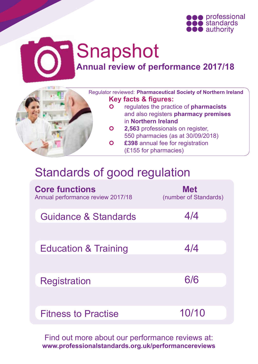



# Snapshot **Annual review of performance 2017/18**



 Regulator reviewed: **Pharmaceutical Society of Northern Ireland Key facts & figures:**

- regulates the practice of **pharmacists** and also registers **pharmacy premises** in **Northern Ireland**
- **2,563** professionals on register, 550 pharmacies (as at 30/09/2018)
- **£398** annual fee for registration (£155 for pharmacies)

## Standards of good regulation

| <b>Core functions</b><br>Annual performance review 2017/18 | <b>Met</b><br>(number of Standards) |
|------------------------------------------------------------|-------------------------------------|
| Guidance & Standards                                       | 4/4                                 |
| <b>Education &amp; Training</b>                            | 4/4                                 |
| <b>Registration</b>                                        | 6/6                                 |
| <b>Fitness to Practise</b>                                 | 10/10                               |

Find out more about our performance reviews at: **[www.professionalstandards.org.uk/performancereviews](http://www.professionalstandards.org.uk/performancereviews)**